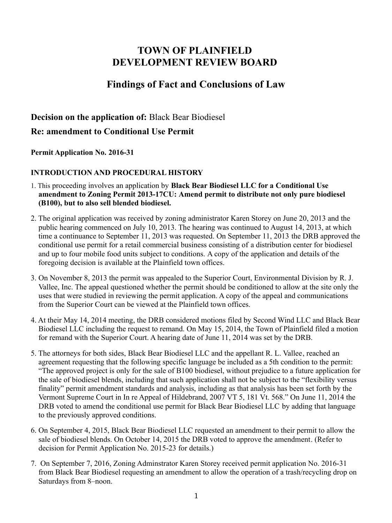# **TOWN OF PLAINFIELD DEVELOPMENT REVIEW BOARD**

## **Findings of Fact and Conclusions of Law**

## **Decision on the application of:** Black Bear Biodiesel **Re: amendment to Conditional Use Permit**

**Permit Application No. 2016-31**

### **INTRODUCTION AND PROCEDURAL HISTORY**

- 1. This proceeding involves an application by **Black Bear Biodiesel LLC for a Conditional Use amendment to Zoning Permit 2013-17CU: Amend permit to distribute not only pure biodiesel (B100), but to also sell blended biodiesel.**
- 2. The original application was received by zoning administrator Karen Storey on June 20, 2013 and the public hearing commenced on July 10, 2013. The hearing was continued to August 14, 2013, at which time a continuance to September 11, 2013 was requested. On September 11, 2013 the DRB approved the conditional use permit for a retail commercial business consisting of a distribution center for biodiesel and up to four mobile food units subject to conditions. A copy of the application and details of the foregoing decision is available at the Plainfield town offices.
- 3. On November 8, 2013 the permit was appealed to the Superior Court, Environmental Division by R. J. Vallee, Inc. The appeal questioned whether the permit should be conditioned to allow at the site only the uses that were studied in reviewing the permit application. A copy of the appeal and communications from the Superior Court can be viewed at the Plainfield town offices.
- 4. At their May 14, 2014 meeting, the DRB considered motions filed by Second Wind LLC and Black Bear Biodiesel LLC including the request to remand. On May 15, 2014, the Town of Plainfield filed a motion for remand with the Superior Court. A hearing date of June 11, 2014 was set by the DRB.
- 5. The attorneys for both sides, Black Bear Biodiesel LLC and the appellant R. L. Vallee, reached an agreement requesting that the following specific language be included as a 5th condition to the permit: "The approved project is only for the sale of B100 biodiesel, without prejudice to a future application for the sale of biodiesel blends, including that such application shall not be subject to the "flexibility versus finality" permit amendment standards and analysis, including as that analysis has been set forth by the Vermont Supreme Court in In re Appeal of Hildebrand, 2007 VT 5, 181 Vt. 568." On June 11, 2014 the DRB voted to amend the conditional use permit for Black Bear Biodiesel LLC by adding that language to the previously approved conditions.
- 6. On September 4, 2015, Black Bear Biodiesel LLC requested an amendment to their permit to allow the sale of biodiesel blends. On October 14, 2015 the DRB voted to approve the amendment. (Refer to decision for Permit Application No. 2015-23 for details.)
- 7. On September 7, 2016, Zoning Adminstrator Karen Storey received permit application No. 2016-31 from Black Bear Biodiesel requesting an amendment to allow the operation of a trash/recycling drop on Saturdays from 8–noon.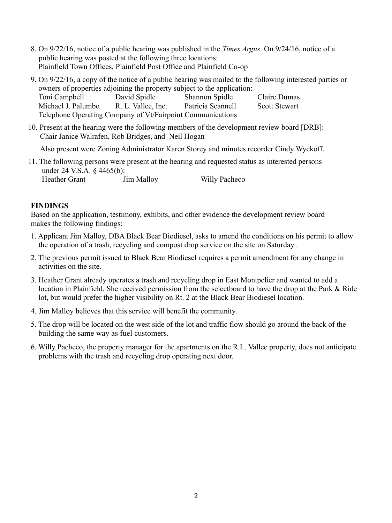- 8. On 9/22/16, notice of a public hearing was published in the *Times Argus*. On 9/24/16, notice of a public hearing was posted at the following three locations: Plainfield Town Offices, Plainfield Post Office and Plainfield Co-op
- 9. On 9/22/16, a copy of the notice of a public hearing was mailed to the following interested parties or owners of properties adjoining the property subject to the application:

| Toni Campbell                                              | David Spidle       | <b>Shannon Spidle</b> | Claire Dumas         |
|------------------------------------------------------------|--------------------|-----------------------|----------------------|
| Michael J. Palumbo                                         | R. L. Vallee, Inc. | Patricia Scannell     | <b>Scott Stewart</b> |
| Telephone Operating Company of Vt/Fairpoint Communications |                    |                       |                      |

10. Present at the hearing were the following members of the development review board [DRB]: Chair Janice Walrafen, Rob Bridges, and Neil Hogan

Also present were Zoning Administrator Karen Storey and minutes recorder Cindy Wyckoff.

11. The following persons were present at the hearing and requested status as interested persons under 24 V.S.A. § 4465(b): Heather Grant Jim Malloy Willy Pacheco

### **FINDINGS**

Based on the application, testimony, exhibits, and other evidence the development review board makes the following findings:

- 1. Applicant Jim Malloy, DBA Black Bear Biodiesel, asks to amend the conditions on his permit to allow the operation of a trash, recycling and compost drop service on the site on Saturday .
- 2. The previous permit issued to Black Bear Biodiesel requires a permit amendment for any change in activities on the site.
- 3. Heather Grant already operates a trash and recycling drop in East Montpelier and wanted to add a location in Plainfield. She received permission from the selectboard to have the drop at the Park & Ride lot, but would prefer the higher visibility on Rt. 2 at the Black Bear Biodiesel location.
- 4. Jim Malloy believes that this service will benefit the community.
- 5. The drop will be located on the west side of the lot and traffic flow should go around the back of the building the same way as fuel customers.
- 6. Willy Pacheco, the property manager for the apartments on the R.L. Vallee property, does not anticipate problems with the trash and recycling drop operating next door.